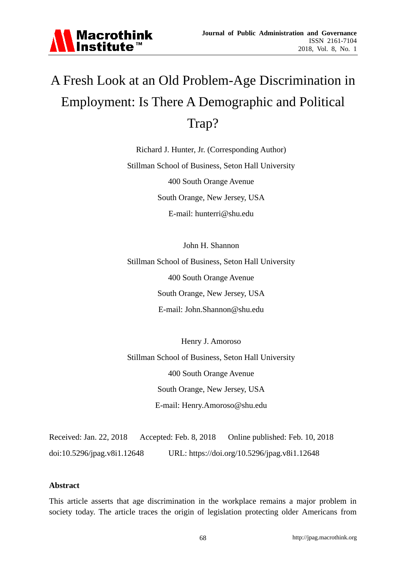

# A Fresh Look at an Old Problem-Age Discrimination in Employment: Is There A Demographic and Political Trap?

Richard J. Hunter, Jr. (Corresponding Author) Stillman School of Business, Seton Hall University 400 South Orange Avenue South Orange, New Jersey, USA E-mail: hunterri@shu.edu

John H. Shannon Stillman School of Business, Seton Hall University 400 South Orange Avenue South Orange, New Jersey, USA E-mail: John.Shannon@shu.edu

Henry J. Amoroso Stillman School of Business, Seton Hall University 400 South Orange Avenue South Orange, New Jersey, USA E-mail: Henry.Amoroso@shu.edu

Received: Jan. 22, 2018 Accepted: Feb. 8, 2018 Online published: Feb. 10, 2018 doi:10.5296/jpag.v8i1.12648 URL: https://doi.org/10.5296/jpag.v8i1.12648

#### **Abstract**

This article asserts that age discrimination in the workplace remains a major problem in society today. The article traces the origin of legislation protecting older Americans from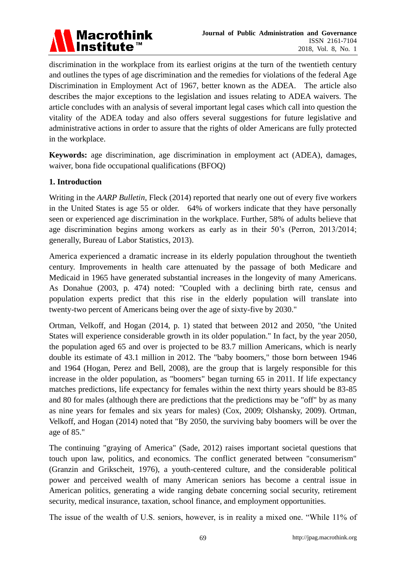

discrimination in the workplace from its earliest origins at the turn of the twentieth century and outlines the types of age discrimination and the remedies for violations of the federal Age Discrimination in Employment Act of 1967, better known as the ADEA. The article also describes the major exceptions to the legislation and issues relating to ADEA waivers. The article concludes with an analysis of several important legal cases which call into question the vitality of the ADEA today and also offers several suggestions for future legislative and administrative actions in order to assure that the rights of older Americans are fully protected in the workplace.

**Keywords:** age discrimination, age discrimination in employment act (ADEA), damages, waiver, bona fide occupational qualifications (BFOQ)

### **1. Introduction**

Writing in the *AARP Bulletin*, Fleck (2014) reported that nearly one out of every five workers in the United States is age 55 or older. 64% of workers indicate that they have personally seen or experienced age discrimination in the workplace. Further, 58% of adults believe that age discrimination begins among workers as early as in their 50's (Perron, 2013/2014; generally, Bureau of Labor Statistics, 2013).

America experienced a dramatic increase in its elderly population throughout the twentieth century. Improvements in health care attenuated by the passage of both Medicare and Medicaid in 1965 have generated substantial increases in the longevity of many Americans. As Donahue (2003, p. 474) noted: "Coupled with a declining birth rate, census and population experts predict that this rise in the elderly population will translate into twenty-two percent of Americans being over the age of sixty-five by 2030."

Ortman, Velkoff, and Hogan (2014, p. 1) stated that between 2012 and 2050, "the United States will experience considerable growth in its older population." In fact, by the year 2050, the population aged 65 and over is projected to be 83.7 million Americans, which is nearly double its estimate of 43.1 million in 2012. The "baby boomers," those born between 1946 and 1964 (Hogan, Perez and Bell, 2008), are the group that is largely responsible for this increase in the older population, as "boomers" began turning 65 in 2011. If life expectancy matches predictions, life expectancy for females within the next thirty years should be 83-85 and 80 for males (although there are predictions that the predictions may be "off" by as many as nine years for females and six years for males) (Cox, 2009; Olshansky, 2009). Ortman, Velkoff, and Hogan (2014) noted that "By 2050, the surviving baby boomers will be over the age of 85."

The continuing "graying of America" (Sade, 2012) raises important societal questions that touch upon law, politics, and economics. The conflict generated between "consumerism" (Granzin and Grikscheit, 1976), a youth-centered culture, and the considerable political power and perceived wealth of many American seniors has become a central issue in American politics, generating a wide ranging debate concerning social security, retirement security, medical insurance, taxation, school finance, and employment opportunities.

The issue of the wealth of U.S. seniors, however, is in reality a mixed one. "While 11% of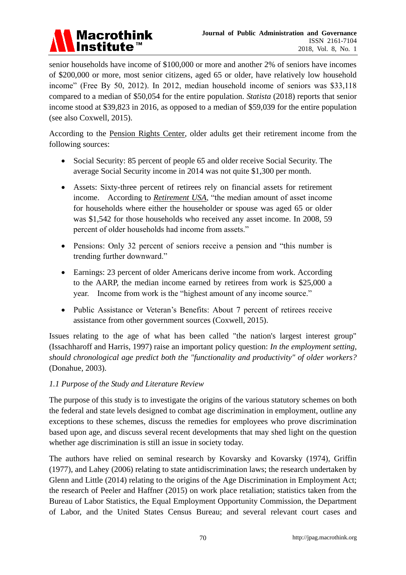

senior households have income of \$100,000 or more and another 2% of seniors have incomes of \$200,000 or more, most senior citizens, aged 65 or older, have relatively low household income" (Free By 50, 2012). In 2012, median household income of seniors was \$33,118 compared to a median of \$50,054 for the entire population. *Statista* (2018) reports that senior income stood at \$39,823 in 2016, as opposed to a median of \$59,039 for the entire population (see also Coxwell, 2015).

According to the [Pension Rights Center,](http://www.pensionrights.org/publications/statistic/sources-income-older-adults) older adults get their retirement income from the following sources:

- Social Security: 85 percent of people 65 and older receive Social Security. The average Social Security income in 2014 was not quite \$1,300 per month.
- Assets: Sixty-three percent of retirees rely on financial assets for retirement income. According to *[Retirement USA](http://www.retirement-usa.org/facts)*, "the median amount of asset income for households where either the householder or spouse was aged 65 or older was \$1,542 for those households who received any asset income. In 2008, 59 percent of older households had income from assets."
- Pensions: Only 32 percent of seniors receive a pension and "this number is trending further downward."
- Earnings: 23 percent of older Americans derive income from work. According to the AARP, the median income earned by retirees from work is \$25,000 a year. Income from work is the "highest amount of any income source."
- Public Assistance or Veteran's Benefits: About 7 percent of retirees receive assistance from other government sources (Coxwell, 2015).

Issues relating to the age of what has been called "the nation's largest interest group" (Issachharoff and Harris, 1997) raise an important policy question: *In the employment setting, should chronological age predict both the "functionality and productivity" of older workers?* (Donahue, 2003).

### *1.1 Purpose of the Study and Literature Review*

The purpose of this study is to investigate the origins of the various statutory schemes on both the federal and state levels designed to combat age discrimination in employment, outline any exceptions to these schemes, discuss the remedies for employees who prove discrimination based upon age, and discuss several recent developments that may shed light on the question whether age discrimination is still an issue in society today.

The authors have relied on seminal research by Kovarsky and Kovarsky (1974), Griffin (1977), and Lahey (2006) relating to state antidiscrimination laws; the research undertaken by Glenn and Little (2014) relating to the origins of the Age Discrimination in Employment Act; the research of Peeler and Haffner (2015) on work place retaliation; statistics taken from the Bureau of Labor Statistics, the Equal Employment Opportunity Commission, the Department of Labor, and the United States Census Bureau; and several relevant court cases and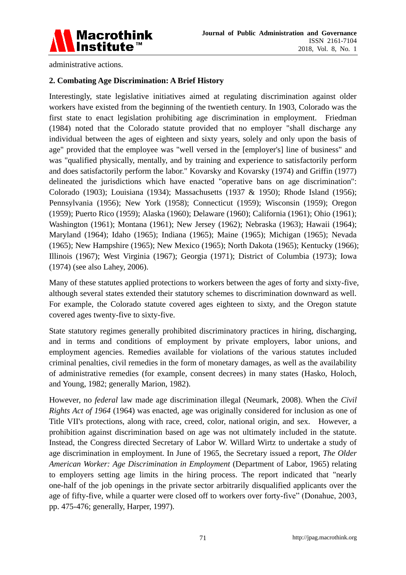

administrative actions.

### **2. Combating Age Discrimination: A Brief History**

Interestingly, state legislative initiatives aimed at regulating discrimination against older workers have existed from the beginning of the twentieth century. In 1903, Colorado was the first state to enact legislation prohibiting age discrimination in employment. Friedman (1984) noted that the Colorado statute provided that no employer "shall discharge any individual between the ages of eighteen and sixty years, solely and only upon the basis of age" provided that the employee was "well versed in the [employer's] line of business" and was "qualified physically, mentally, and by training and experience to satisfactorily perform and does satisfactorily perform the labor." Kovarsky and Kovarsky (1974) and Griffin (1977) delineated the jurisdictions which have enacted "operative bans on age discrimination": Colorado (1903); Louisiana (1934); Massachusetts (1937 & 1950); Rhode Island (1956); Pennsylvania (1956); New York (1958); Connecticut (1959); Wisconsin (1959); Oregon (1959); Puerto Rico (1959); Alaska (1960); Delaware (1960); California (1961); Ohio (1961); Washington (1961); Montana (1961); New Jersey (1962); Nebraska (1963); Hawaii (1964); Maryland (1964); Idaho (1965); Indiana (1965); Maine (1965); Michigan (1965); Nevada (1965); New Hampshire (1965); New Mexico (1965); North Dakota (1965); Kentucky (1966); Illinois (1967); West Virginia (1967); Georgia (1971); District of Columbia (1973); Iowa (1974) (see also Lahey, 2006).

Many of these statutes applied protections to workers between the ages of forty and sixty-five, although several states extended their statutory schemes to discrimination downward as well. For example, the Colorado statute covered ages eighteen to sixty, and the Oregon statute covered ages twenty-five to sixty-five.

State statutory regimes generally prohibited discriminatory practices in hiring, discharging, and in terms and conditions of employment by private employers, labor unions, and employment agencies. Remedies available for violations of the various statutes included criminal penalties, civil remedies in the form of monetary damages, as well as the availability of administrative remedies (for example, consent decrees) in many states (Hasko, Holoch, and Young, 1982; generally Marion, 1982).

However, no *federal* law made age discrimination illegal (Neumark, 2008). When the *Civil Rights Act of 1964* (1964) was enacted, age was originally considered for inclusion as one of Title VII's protections, along with race, creed, color, national origin, and sex. However, a prohibition against discrimination based on age was not ultimately included in the statute. Instead, the Congress directed Secretary of Labor W. Willard Wirtz to undertake a study of age discrimination in employment. In June of 1965, the Secretary issued a report, *The Older American Worker: Age Discrimination in Employment* (Department of Labor, 1965) relating to employers setting age limits in the hiring process. The report indicated that "nearly one-half of the job openings in the private sector arbitrarily disqualified applicants over the age of fifty-five, while a quarter were closed off to workers over forty-five" (Donahue, 2003, pp. 475-476; generally, Harper, 1997).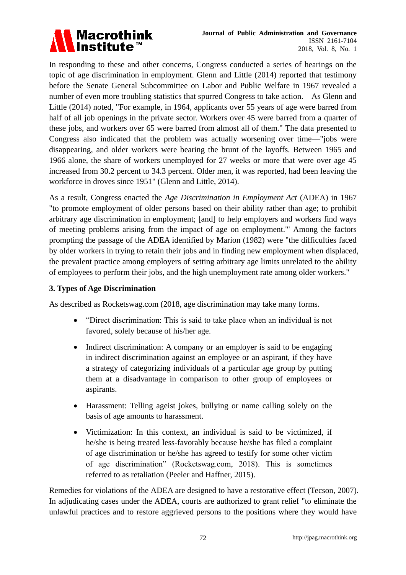

In responding to these and other concerns, Congress conducted a series of hearings on the topic of age discrimination in employment. Glenn and Little (2014) reported that testimony before the Senate General Subcommittee on Labor and Public Welfare in 1967 revealed a number of even more troubling statistics that spurred Congress to take action. As Glenn and Little (2014) noted, "For example, in 1964, applicants over 55 years of age were barred from half of all job openings in the private sector. Workers over 45 were barred from a quarter of these jobs, and workers over 65 were barred from almost all of them." The data presented to Congress also indicated that the problem was actually worsening over time—"jobs were disappearing, and older workers were bearing the brunt of the layoffs. Between 1965 and 1966 alone, the share of workers unemployed for 27 weeks or more that were over age 45 increased from 30.2 percent to 34.3 percent. Older men, it was reported, had been leaving the workforce in droves since 1951" (Glenn and Little, 2014).

As a result, Congress enacted the *Age Discrimination in Employment Act* (ADEA) in 1967 "to promote employment of older persons based on their ability rather than age; to prohibit arbitrary age discrimination in employment; [and] to help employers and workers find ways of meeting problems arising from the impact of age on employment."' Among the factors prompting the passage of the ADEA identified by Marion (1982) were "the difficulties faced by older workers in trying to retain their jobs and in finding new employment when displaced, the prevalent practice among employers of setting arbitrary age limits unrelated to the ability of employees to perform their jobs, and the high unemployment rate among older workers."

#### **3. Types of Age Discrimination**

As described as Rocketswag.com (2018, age discrimination may take many forms.

- "Direct discrimination: This is said to take place when an individual is not favored, solely because of his/her age.
- Indirect discrimination: A company or an employer is said to be engaging in indirect discrimination against an employee or an aspirant, if they have a strategy of categorizing individuals of a particular age group by putting them at a disadvantage in comparison to other group of employees or aspirants.
- Harassment: Telling ageist jokes, bullying or name calling solely on the basis of age amounts to harassment.
- Victimization: In this context, an individual is said to be victimized, if he/she is being treated less-favorably because he/she has filed a complaint of age discrimination or he/she has agreed to testify for some other victim of age discrimination" (Rocketswag.com, 2018). This is sometimes referred to as retaliation (Peeler and Haffner, 2015).

Remedies for violations of the ADEA are designed to have a restorative effect (Tecson, 2007). In adjudicating cases under the ADEA, courts are authorized to grant relief "to eliminate the unlawful practices and to restore aggrieved persons to the positions where they would have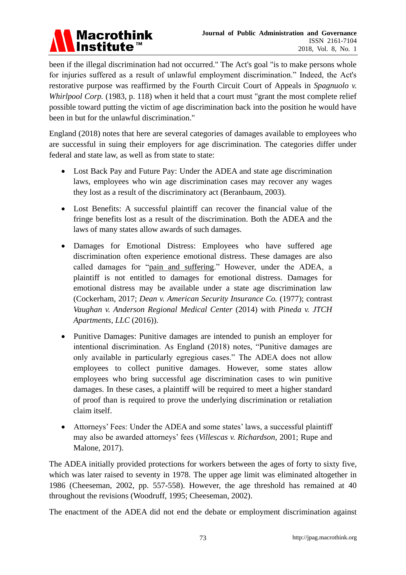# Macrothink<br>Institute™

been if the illegal discrimination had not occurred." The Act's goal "is to make persons whole for injuries suffered as a result of unlawful employment discrimination." Indeed, the Act's restorative purpose was reaffirmed by the Fourth Circuit Court of Appeals in *Spagnuolo v. Whirlpool Corp.* (1983, p. 118) when it held that a court must "grant the most complete relief possible toward putting the victim of age discrimination back into the position he would have been in but for the unlawful discrimination."

England (2018) notes that here are several categories of damages available to employees who are successful in suing their employers for age discrimination. The categories differ under federal and state law, as well as from state to state:

- Lost Back Pay and Future Pay: Under the ADEA and state age discrimination laws, employees who win age discrimination cases may recover any wages they lost as a result of the discriminatory act (Beranbaum, 2003).
- Lost Benefits: A successful plaintiff can recover the financial value of the fringe benefits lost as a result of the discrimination. Both the ADEA and the laws of many states allow awards of such damages.
- Damages for Emotional Distress: Employees who have suffered age discrimination often experience emotional distress. These damages are also called damages for "pain and suffering." However, under the ADEA, a plaintiff is not entitled to damages for emotional distress. Damages for emotional distress may be available under a state age discrimination law (Cockerham, 2017; *Dean v. American Security Insurance Co.* (1977); contrast *Vaughan v. Anderson Regional Medical Center* (2014) with *Pineda v. JTCH Apartments, LLC* (2016)).
- Punitive Damages: Punitive damages are intended to punish an employer for intentional discrimination. As England (2018) notes, "Punitive damages are only available in particularly egregious cases." The ADEA does not allow employees to collect punitive damages. However, some states allow employees who bring successful age discrimination cases to win punitive damages. In these cases, a plaintiff will be required to meet a higher standard of proof than is required to prove the underlying discrimination or retaliation claim itself.
- Attorneys' Fees: Under the ADEA and some states' laws, a successful plaintiff may also be awarded attorneys' fees (*Villescas v. Richardson*, 2001; Rupe and Malone, 2017).

The ADEA initially provided protections for workers between the ages of forty to sixty five, which was later raised to seventy in 1978. The upper age limit was eliminated altogether in 1986 (Cheeseman, 2002, pp. 557-558). However, the age threshold has remained at 40 throughout the revisions (Woodruff, 1995; Cheeseman, 2002).

The enactment of the ADEA did not end the debate or employment discrimination against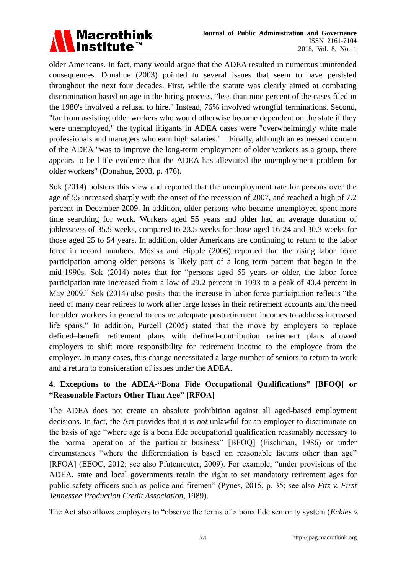

older Americans. In fact, many would argue that the ADEA resulted in numerous unintended consequences. Donahue (2003) pointed to several issues that seem to have persisted throughout the next four decades. First, while the statute was clearly aimed at combating discrimination based on age in the hiring process, "less than nine percent of the cases filed in the 1980's involved a refusal to hire." Instead, 76% involved wrongful terminations. Second, "far from assisting older workers who would otherwise become dependent on the state if they were unemployed," the typical litigants in ADEA cases were "overwhelmingly white male professionals and managers who earn high salaries." Finally, although an expressed concern of the ADEA "was to improve the long-term employment of older workers as a group, there appears to be little evidence that the ADEA has alleviated the unemployment problem for older workers" (Donahue, 2003, p. 476).

Sok (2014) bolsters this view and reported that the unemployment rate for persons over the age of 55 increased sharply with the onset of the recession of 2007, and reached a high of 7.2 percent in December 2009. In addition, older persons who became unemployed spent more time searching for work. Workers aged 55 years and older had an average duration of joblessness of 35.5 weeks, compared to 23.5 weeks for those aged 16-24 and 30.3 weeks for those aged 25 to 54 years. In addition, older Americans are continuing to return to the labor force in record numbers. Mosisa and Hipple (2006) reported that the rising labor force participation among older persons is likely part of a long term pattern that began in the mid-1990s. Sok (2014) notes that for "persons aged 55 years or older, the labor force participation rate increased from a low of 29.2 percent in 1993 to a peak of 40.4 percent in May 2009." Sok (2014) also posits that the increase in labor force participation reflects "the need of many near retirees to work after large losses in their retirement accounts and the need for older workers in general to ensure adequate postretirement incomes to address increased life spans." In addition, Purcell (2005) stated that the move by employers to replace defined–benefit retirement plans with defined-contribution retirement plans allowed employers to shift more responsibility for retirement income to the employee from the employer. In many cases, this change necessitated a large number of seniors to return to work and a return to consideration of issues under the ADEA.

# **4. Exceptions to the ADEA-"Bona Fide Occupational Qualifications" [BFOQ] or "Reasonable Factors Other Than Age" [RFOA]**

The ADEA does not create an absolute prohibition against all aged-based employment decisions. In fact, the Act provides that it is *not* unlawful for an employer to discriminate on the basis of age "where age is a bona fide occupational qualification reasonably necessary to the normal operation of the particular business" [BFOQ] (Fischman, 1986) or under circumstances "where the differentiation is based on reasonable factors other than age" [RFOA] (EEOC, 2012; see also Pfutenreuter, 2009). For example, "under provisions of the ADEA, state and local governments retain the right to set mandatory retirement ages for public safety officers such as police and firemen" (Pynes, 2015, p. 35; see also *Fitz v. First Tennessee Production Credit Association*, 1989).

The Act also allows employers to "observe the terms of a bona fide seniority system (*Eckles v.*)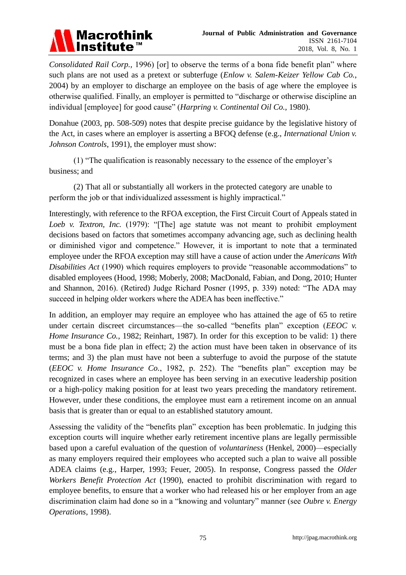

*Consolidated Rail Corp.,* 1996) [or] to observe the terms of a bona fide benefit plan" where such plans are not used as a pretext or subterfuge (*Enlow v. Salem-Keizer Yellow Cab Co.*, 2004) by an employer to discharge an employee on the basis of age where the employee is otherwise qualified. Finally, an employer is permitted to "discharge or otherwise discipline an individual [employee] for good cause" (*Harpring v. Continental Oil Co.*, 1980).

Donahue (2003, pp. 508-509) notes that despite precise guidance by the legislative history of the Act, in cases where an employer is asserting a BFOQ defense (e.g., *International Union v. Johnson Controls*, 1991), the employer must show:

(1) ―The qualification is reasonably necessary to the essence of the employer's business; and

(2) That all or substantially all workers in the protected category are unable to perform the job or that individualized assessment is highly impractical."

Interestingly, with reference to the RFOA exception, the First Circuit Court of Appeals stated in *Loeb v. Textron, Inc.* (1979): "[The] age statute was not meant to prohibit employment decisions based on factors that sometimes accompany advancing age, such as declining health or diminished vigor and competence." However, it is important to note that a terminated employee under the RFOA exception may still have a cause of action under the *Americans With Disabilities Act* (1990) which requires employers to provide "reasonable accommodations" to disabled employees (Hood, 1998; Moberly, 2008; MacDonald, Fabian, and Dong, 2010; Hunter and Shannon, 2016). (Retired) Judge Richard Posner (1995, p. 339) noted: "The ADA may succeed in helping older workers where the ADEA has been ineffective."

In addition, an employer may require an employee who has attained the age of 65 to retire under certain discreet circumstances—the so-called "benefits plan" exception (*EEOC v. Home Insurance Co.*, 1982; Reinhart, 1987). In order for this exception to be valid: 1) there must be a bona fide plan in effect; 2) the action must have been taken in observance of its terms; and 3) the plan must have not been a subterfuge to avoid the purpose of the statute ( $EEOC$  v. Home Insurance  $Co$ , 1982, p. 252). The "benefits plan" exception may be recognized in cases where an employee has been serving in an executive leadership position or a high-policy making position for at least two years preceding the mandatory retirement. However, under these conditions, the employee must earn a retirement income on an annual basis that is greater than or equal to an established statutory amount.

Assessing the validity of the "benefits plan" exception has been problematic. In judging this exception courts will inquire whether early retirement incentive plans are legally permissible based upon a careful evaluation of the question of *voluntariness* (Henkel, 2000)—especially as many employers required their employees who accepted such a plan to waive all possible ADEA claims (e.g., Harper, 1993; Feuer, 2005). In response, Congress passed the *Older Workers Benefit Protection Act* (1990), enacted to prohibit discrimination with regard to employee benefits, to ensure that a worker who had released his or her employer from an age discrimination claim had done so in a "knowing and voluntary" manner (see *Oubre v. Energy Operations*, 1998).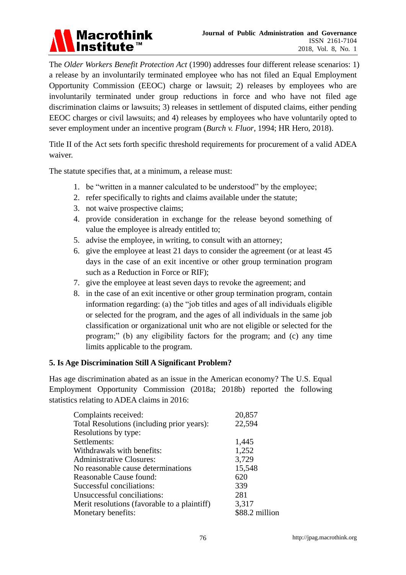

The *Older Workers Benefit Protection Act* (1990) addresses four different release scenarios: 1) a release by an involuntarily terminated employee who has not filed an [Equal Employment](http://topics.hrhero.com/eeoc-equal-employment-opportunity-commission/)  [Opportunity Commission \(EEOC\)](http://topics.hrhero.com/eeoc-equal-employment-opportunity-commission/) charge or lawsuit; 2) releases by employees who are involuntarily terminated under group [reductions in force](http://topics.hrhero.com/layoffs-downsizing-reductions-in-force-rif/) and who have not filed age discrimination claims or lawsuits; 3) releases in settlement of disputed claims, either pending EEOC charges or civil lawsuits; and 4) releases by employees who have voluntarily opted to sever employment under an incentive program (*Burch v. Fluor*, 1994; HR Hero, 2018).

Title II of the Act sets forth specific threshold requirements for procurement of a valid ADEA waiver.

The statute specifies that, at a minimum, a release must:

- 1. be "written in a manner calculated to be understood" by the employee;
- 2. refer specifically to rights and claims available under the statute;
- 3. not waive prospective claims;
- 4. provide consideration in exchange for the release beyond something of value the employee is already entitled to;
- 5. advise the employee, in writing, to consult with an attorney;
- 6. give the employee at least 21 days to consider the agreement (or at least 45 days in the case of an exit incentive or other group termination program such as a Reduction in Force or RIF);
- 7. give the employee at least seven days to revoke the agreement; and
- 8. in the case of an exit incentive or other group termination program, contain information regarding: (a) the "job titles and ages of all individuals eligible or selected for the program, and the ages of all individuals in the same job classification or organizational unit who are not eligible or selected for the program;‖ (b) any eligibility factors for the program; and (c) any time limits applicable to the program.

#### **5. Is Age Discrimination Still A Significant Problem?**

Has age discrimination abated as an issue in the American economy? The U.S. Equal Employment Opportunity Commission (2018a; 2018b) reported the following statistics relating to ADEA claims in 2016:

| Complaints received:                         | 20,857         |
|----------------------------------------------|----------------|
| Total Resolutions (including prior years):   | 22,594         |
| Resolutions by type:                         |                |
| Settlements:                                 | 1,445          |
| Withdrawals with benefits:                   | 1,252          |
| <b>Administrative Closures:</b>              | 3,729          |
| No reasonable cause determinations           | 15,548         |
| Reasonable Cause found:                      | 620            |
| Successful conciliations:                    | 339            |
| Unsuccessful conciliations:                  | 281            |
| Merit resolutions (favorable to a plaintiff) | 3,317          |
| Monetary benefits:                           | \$88.2 million |
|                                              |                |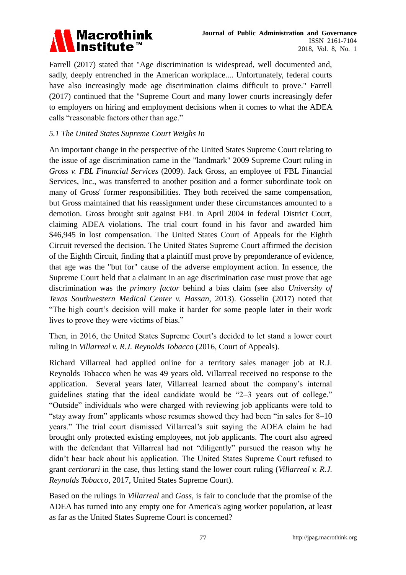

Farrell (2017) stated that "Age discrimination is widespread, well documented and, sadly, deeply entrenched in the American workplace.... Unfortunately, federal courts have also increasingly made age discrimination claims difficult to prove." Farrell (2017) continued that the "Supreme Court and many lower courts increasingly defer to employers on hiring and employment decisions when it comes to what the ADEA calls "reasonable factors other than age."

## *5.1 The United States Supreme Court Weighs In*

An important change in the perspective of the United States Supreme Court relating to the issue of age discrimination came in the "landmark" 2009 Supreme Court ruling in *[Gross v. FBL Financial Services](http://www.nextavenue.org/job-rejection-age-discrimination/)* (2009). Jack Gross, an employee of [FBL Financial](https://en.wikipedia.org/wiki/FBL_Financial_Group)  [Services, Inc.,](https://en.wikipedia.org/wiki/FBL_Financial_Group) was transferred to another position and a former subordinate took on many of Gross' former responsibilities. They both received the same compensation, but Gross maintained that his reassignment under these circumstances amounted to a demotion. Gross brought suit against FBL in April 2004 in federal District Court, claiming ADEA violations. The trial court found in his favor and awarded him \$46,945 in lost compensation. The United States Court of Appeals for the Eighth [Circuit](https://en.wikipedia.org/wiki/United_States_Court_of_Appeals_for_the_Eighth_Circuit) reversed the decision. The United States Supreme Court affirmed the decision of the Eighth Circuit, finding that a plaintiff must prove by preponderance of evidence, that age was the "but for" cause of the adverse employment action. In essence, the Supreme Court held that a claimant in an age discrimination case must prove that age discrimination was the *primary factor* behind a bias claim (see also *University of Texas Southwestern Medical Center v. Hassan*, 2013). Gosselin (2017) noted that ―The high court's decision will make it harder for some people later in their work lives to prove they were victims of bias."

Then, in 2016, the United States Supreme Court's decided to let stand a lower court ruling in *Villarreal v. R.J. Reynolds Tobacco* (2016, Court of Appeals)*.*

Richard Villarreal had applied online for a territory sales manager job at R.J. Reynolds Tobacco when he was 49 years old. Villarreal received no response to the application. Several years later, Villarreal learned about the company's internal guidelines stating that the ideal candidate would be  $2-3$  years out of college." ―Outside‖ individuals who were charged with reviewing job applicants were told to "stay away from" applicants whose resumes showed they had been "in sales for  $8-10$ " years.‖ The trial court dismissed Villarreal's suit saying the ADEA claim he had brought only protected existing employees, not job applicants. The court also agreed with the defendant that Villarreal had not "diligently" pursued the reason why he didn't hear back about his application. The United States Supreme Court refused to grant *certiorari* in the case, thus letting stand the lower court ruling (*Villarreal v. R.J. Reynolds Tobacco*, 2017, United States Supreme Court).

Based on the rulings in *Villarreal* and *Goss*, is fair to conclude that the promise of the ADEA has turned into any empty one for America's aging worker population, at least as far as the United States Supreme Court is concerned?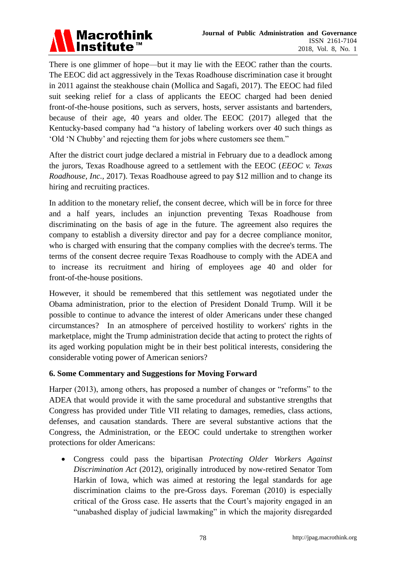

There is one glimmer of hope—but it may lie with the EEOC rather than the courts. The EEOC did act aggressively in the Texas Roadhouse discrimination case it brought in 2011 against the steakhouse chain (Mollica and Sagafi, 2017). The EEOC had filed suit seeking relief for a class of applicants the EEOC charged had been denied front-of-the-house positions, such as servers, hosts, server assistants and bartenders, because of their age, 40 years and older. The EEOC (2017) alleged that the Kentucky-based company had "a history of labeling workers over 40 such things as ‗Old ‗N Chubby' and rejecting them for jobs where customers see them.‖

After the district court judge declared a mistrial in February due to a deadlock among the jurors, Texas Roadhouse agreed to a settlement with the EEOC (*EEOC v. Texas Roadhouse, Inc.,* 2017). Texas Roadhouse agreed to pay \$12 million and to change its hiring and recruiting practices.

In addition to the monetary relief, the consent decree, which will be in force for three and a half years, includes an injunction preventing Texas Roadhouse from discriminating on the basis of age in the future. The agreement also requires the company to establish a diversity director and pay for a decree compliance monitor, who is charged with ensuring that the company complies with the decree's terms. The terms of the consent decree require Texas Roadhouse to comply with the ADEA and to increase its recruitment and hiring of employees age 40 and older for front-of-the-house positions.

However, it should be remembered that this settlement was negotiated under the Obama administration, prior to the election of President Donald Trump. Will it be possible to continue to advance the interest of older Americans under these changed circumstances? In an atmosphere of perceived hostility to workers' rights in the marketplace, might the Trump administration decide that acting to protect the rights of its aged working population might be in their best political interests, considering the considerable voting power of American seniors?

### **6. Some Commentary and Suggestions for Moving Forward**

Harper (2013), among others, has proposed a number of changes or "reforms" to the ADEA that would provide it with the same procedural and substantive strengths that Congress has provided under Title VII relating to damages, remedies, class actions, defenses, and causation standards. There are several substantive actions that the Congress, the Administration, or the EEOC could undertake to strengthen worker protections for older Americans:

 Congress could pass the bipartisan *Protecting Older Workers Against Discrimination Act* (2012), originally introduced by now-retired Senator Tom Harkin of Iowa, which was aimed at restoring the legal standards for age discrimination claims to the pre-Gross days. Foreman (2010) is especially critical of the Gross case. He asserts that the Court's majority engaged in an ―unabashed display of judicial lawmaking‖ in which the majority disregarded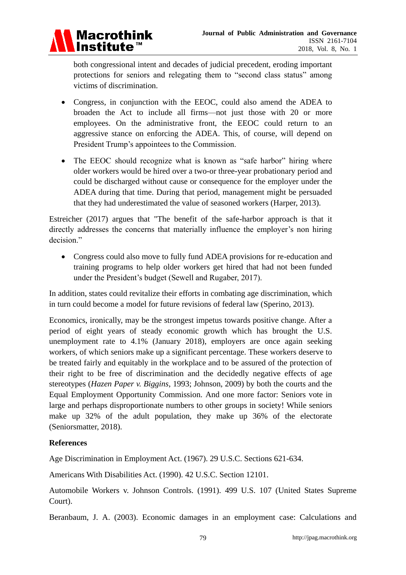

both congressional intent and decades of judicial precedent, eroding important protections for seniors and relegating them to "second class status" among victims of discrimination.

- Congress, in conjunction with the EEOC, could also amend the ADEA to broaden the Act to include all firms—not just those with 20 or more employees. On the administrative front, the EEOC could return to an aggressive stance on enforcing the ADEA. This, of course, will depend on President Trump's appointees to the Commission.
- The EEOC should recognize what is known as "safe harbor" hiring where older workers would be hired over a two-or three-year probationary period and could be discharged without cause or consequence for the employer under the ADEA during that time. During that period, management might be persuaded that they had underestimated the value of seasoned workers (Harper, 2013).

Estreicher (2017) argues that "The benefit of the safe-harbor approach is that it directly addresses the concerns that materially influence the employer's non hiring decision."

• Congress could also move to fully fund ADEA provisions for re-education and training programs to help older workers get hired that had not been funded under the President's budget (Sewell and Rugaber, 2017).

In addition, states could revitalize their efforts in combating age discrimination, which in turn could become a model for future revisions of federal law (Sperino, 2013).

Economics, ironically, may be the strongest impetus towards positive change. After a period of eight years of steady economic growth which has brought the U.S. unemployment rate to 4.1% (January 2018), employers are once again seeking workers, of which seniors make up a significant percentage. These workers deserve to be treated fairly and equitably in the workplace and to be assured of the protection of their right to be free of discrimination and the decidedly negative effects of age stereotypes (*Hazen Paper v. Biggins*, 1993; Johnson, 2009) by both the courts and the Equal Employment Opportunity Commission. And one more factor: Seniors vote in large and perhaps disproportionate numbers to other groups in society! While seniors make up 32% of the adult population, they make up 36% of the electorate (Seniorsmatter, 2018).

### **References**

Age Discrimination in Employment Act. (1967). 29 U.S.C. Sections 621-634.

Americans With Disabilities Act. (1990). 42 U.S.C. Section 12101.

Automobile Workers v. Johnson Controls. (1991). 499 U.S. 107 (United States Supreme Court).

Beranbaum, J. A. (2003). Economic damages in an employment case: Calculations and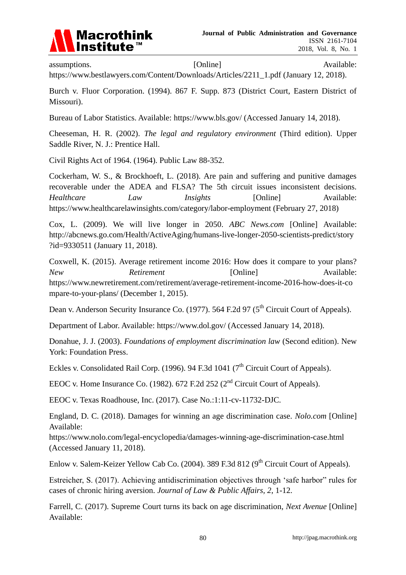

assumptions. [Online] Available: Available:

[https://www.bestlawyers.com/Content/Downloads/Articles/2211\\_1.pdf](https://www.bestlawyers.com/Content/Downloads/Articles/2211_1.pdf) (January 12, 2018).

Burch v. Fluor Corporation. (1994). 867 F. Supp. 873 (District Court, Eastern District of Missouri).

Bureau of Labor Statistics. Available:<https://www.bls.gov/> (Accessed January 14, 2018).

Cheeseman, H. R. (2002). *The legal and regulatory environment* (Third edition). Upper Saddle River, N. J.: Prentice Hall.

Civil Rights Act of 1964. (1964). Public Law 88-352.

Cockerham, W. S., & Brockhoeft, L. (2018). Are pain and suffering and punitive damages recoverable under the ADEA and FLSA? The 5th circuit issues inconsistent decisions. *Healthcare Law Insights* [Online] Available: <https://www.healthcarelawinsights.com/category/labor-employment> (February 27, 2018)

Cox, L. (2009). We will live longer in 2050. *ABC News.com* [Online] Available: [http://abcnews.go.com/Health/ActiveAging/humans-live-longer-2050-scientists-predict/story](http://abcnews.go.com/Health/ActiveAging/humans-live-longer-2050-scientists-predict/story?id=9330511) [?id=9330511](http://abcnews.go.com/Health/ActiveAging/humans-live-longer-2050-scientists-predict/story?id=9330511) (January 11, 2018).

Coxwell, K. (2015). Average retirement income 2016: How does it compare to your plans? *New Retirement* **[Online]** Available: [https://www.newretirement.com/retirement/average-retirement-income-2016-how-does-it-co](https://www.newretirement.com/retirement/average-retirement-income-2016-how-does-it-compare-to-your-plans/) [mpare-to-your-plans/](https://www.newretirement.com/retirement/average-retirement-income-2016-how-does-it-compare-to-your-plans/) (December 1, 2015).

Dean v. Anderson Security Insurance Co. (1977). 564 F.2d 97 (5<sup>th</sup> Circuit Court of Appeals).

Department of Labor. Available:<https://www.dol.gov/> (Accessed January 14, 2018).

Donahue, J. J. (2003). *Foundations of employment discrimination law* (Second edition). New York: Foundation Press.

Eckles v. Consolidated Rail Corp. (1996). 94 F.3d 1041 ( $7<sup>th</sup>$  Circuit Court of Appeals).

EEOC v. Home Insurance Co. (1982). 672 F.2d 252 ( $2<sup>nd</sup>$  Circuit Court of Appeals).

EEOC v. Texas Roadhouse, Inc. (2017). Case No.:1:11-cv-11732-DJC.

England, D. C. (2018). Damages for winning an age discrimination case. *Nolo.com* [Online] Available:

<https://www.nolo.com/legal-encyclopedia/damages-winning-age-discrimination-case.html> (Accessed January 11, 2018).

Enlow v. Salem-Keizer Yellow Cab Co. (2004). 389 F.3d 812 (9<sup>th</sup> Circuit Court of Appeals).

Estreicher, S. (2017). Achieving antidiscrimination objectives through 'safe harbor" rules for cases of chronic hiring aversion. *Journal of Law & Public Affairs, 2*, 1-12.

Farrell, C. (2017). Supreme Court turns its back on age discrimination, *Next Avenue* [Online] Available: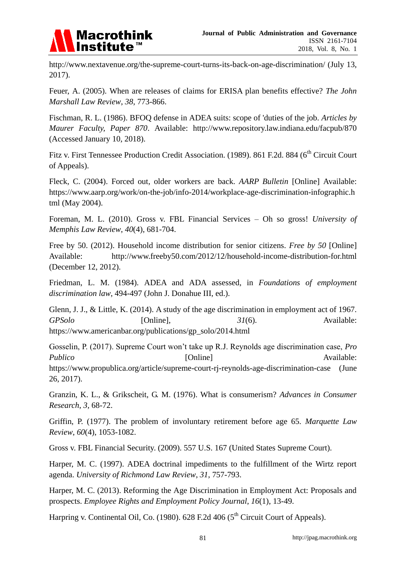

<http://www.nextavenue.org/the-supreme-court-turns-its-back-on-age-discrimination/> (July 13, 2017).

Feuer, A. (2005). When are releases of claims for ERISA plan benefits effective? *The John Marshall Law Review*, *38*, 773-866.

Fischman, R. L. (1986). BFOQ defense in ADEA suits: scope of 'duties of the job. *Articles by Maurer Faculty, Paper 870*. Available: <http://www.repository.law.indiana.edu/facpub/870> (Accessed January 10, 2018).

Fitz v. First Tennessee Production Credit Association. (1989). 861 F.2d. 884 (6<sup>th</sup> Circuit Court of Appeals).

Fleck, C. (2004). Forced out, older workers are back. *AARP Bulletin* [Online] Available: [https://www.aarp.org/work/on-the-job/info-2014/workplace-age-discrimination-infographic.h](https://www.aarp.org/work/on-the-job/info-2014/workplace-age-discrimination-infographic.html) [tml](https://www.aarp.org/work/on-the-job/info-2014/workplace-age-discrimination-infographic.html) (May 2004).

Foreman, M. L. (2010). Gross v. FBL Financial Services – Oh so gross! *University of Memphis Law Review*, *40*(4), 681-704.

Free by 50. (2012). Household income distribution for senior citizens. *Free by 50* [Online] Available: <http://www.freeby50.com/2012/12/household-income-distribution-for.html> (December 12, 2012).

Friedman, L. M. (1984). ADEA and ADA assessed, in *Foundations of employment discrimination law*, 494-497 (John J. Donahue III, ed.).

Glenn, J. J., & Little, K. (2014). A study of the age discrimination in employment act of 1967. *GPSolo* [Online],  $31(6)$ . Available: [https://www.americanbar.org/publications/gp\\_solo/2014.html](https://www.americanbar.org/publications/gp_solo/2014.html)

Gosselin, P. (2017). Supreme Court won't take up R.J. Reynolds age discrimination case, *Pro*  Publico [Online] **Available:** <https://www.propublica.org/article/supreme-court-rj-reynolds-age-discrimination-case> (June 26, 2017).

Granzin, K. L., & Grikscheit, G. M. (1976). What is consumerism? *Advances in Consumer Research*, *3,* 68-72.

Griffin, P. (1977). The problem of involuntary retirement before age 65. *Marquette Law Review*, *60*(4), 1053-1082.

Gross v. FBL Financial Security. (2009). 557 U.S. 167 (United States Supreme Court).

Harper, M. C. (1997). ADEA doctrinal impediments to the fulfillment of the Wirtz report agenda. *University of Richmond Law Review*, *31*, 757-793.

Harper, M. C. (2013). Reforming the Age Discrimination in Employment Act: Proposals and prospects. *Employee Rights and Employment Policy Journal*, *16*(1), 13-49.

Harpring v. Continental Oil, Co. (1980).  $628$  F.2d 406 ( $5<sup>th</sup>$  Circuit Court of Appeals).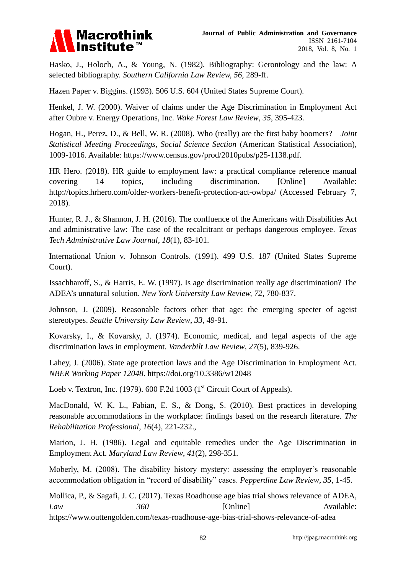

Hasko, J., Holoch, A., & Young, N. (1982). Bibliography: Gerontology and the law: A selected bibliography. *Southern California Law Review, 56,* 289-ff.

Hazen Paper v. Biggins. (1993). 506 U.S. 604 (United States Supreme Court).

Henkel, J. W. (2000). Waiver of claims under the Age Discrimination in Employment Act after Oubre v. Energy Operations, Inc. *Wake Forest Law Review*, *35*, 395-423.

Hogan, H., Perez, D., & Bell, W. R. (2008). Who (really) are the first baby boomers? *Joint Statistical Meeting Proceedings, Social Science Section* (American Statistical Association), 1009-1016. Available: [https://www.census.gov/prod/2010pubs/p25-1138.pdf.](https://www.census.gov/prod/2010pubs/p25-1138.pdf)

HR Hero. (2018). [HR guide to employment law:](http://store.hrhero.com/hrguide?ref=2&data=TOPIC) a practical compliance reference manual covering 14 topics, including discrimination. [Online] Available: <http://topics.hrhero.com/older-workers-benefit-protection-act-owbpa/> (Accessed February 7, 2018).

Hunter, R. J., & Shannon, J. H. (2016). The confluence of the Americans with Disabilities Act and administrative law: The case of the recalcitrant or perhaps dangerous employee. *Texas Tech Administrative Law Journal*, *18*(1), 83-101.

International Union v. Johnson Controls. (1991). 499 U.S. 187 (United States Supreme Court).

Issachharoff, S., & Harris, E. W. (1997). Is age discrimination really age discrimination? The ADEA's unnatural solution. *New York University Law Review, 72,* 780-837.

Johnson, J. (2009). Reasonable factors other that age: the emerging specter of ageist stereotypes. *Seattle University Law Review*, *33*, 49-91.

Kovarsky, I., & Kovarsky, J. (1974). Economic, medical, and legal aspects of the age discrimination laws in employment. *Vanderbilt Law Review*, *27*(5), 839-926.

Lahey, J. (2006). State age protection laws and the Age Discrimination in Employment Act. *NBER Working Paper 12048*.<https://doi.org/10.3386/w12048>

Loeb v. Textron, Inc. (1979). 600 F.2d 1003 ( $1<sup>st</sup>$  Circuit Court of Appeals).

MacDonald, W. K. L., Fabian, E. S., & Dong, S. (2010). Best practices in developing reasonable accommodations in the workplace: findings based on the research literature. *The Rehabilitation Professional*, *16*(4), 221-232.,

Marion, J. H. (1986). Legal and equitable remedies under the Age Discrimination in Employment Act. *Maryland Law Review*, *41*(2), 298-351.

Moberly, M. (2008). The disability history mystery: assessing the employer's reasonable accommodation obligation in "record of disability" cases. *Pepperdine Law Review*, 35, 1-45.

Mollica, P., & Sagafi, J. C. (2017). Texas Roadhouse age bias trial shows relevance of ADEA, *Law* 360 [Online] Available: <https://www.outtengolden.com/texas-roadhouse-age-bias-trial-shows-relevance-of-adea>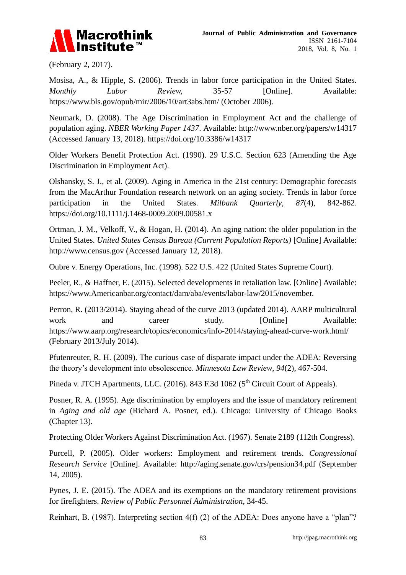

(February 2, 2017).

Mosisa, A., & Hipple, S. (2006). Trends in labor force participation in the United States. *Monthly Labor Review,* 35-57 [Online]. Available: <https://www.bls.gov/opub/mir/2006/10/art3abs.htm/> (October 2006).

Neumark, D. (2008). The Age Discrimination in Employment Act and the challenge of population aging. *NBER Working Paper 1437*. Available:<http://www.nber.org/papers/w14317> (Accessed January 13, 2018).<https://doi.org/10.3386/w14317>

Older Workers Benefit Protection Act. (1990). 29 U.S.C. Section 623 (Amending the Age Discrimination in Employment Act).

Olshansky, S. J., et al. (2009). Aging in America in the 21st century: Demographic forecasts from the MacArthur Foundation research network on an aging society. Trends in labor force participation in the United States. *Milbank Quarterly*, *87*(4), 842-862. <https://doi.org/10.1111/j.1468-0009.2009.00581.x>

Ortman, J. M., Velkoff, V., & Hogan, H. (2014). An aging nation: the older population in the United States. *United States Census Bureau (Current Population Reports)* [Online] Available: [http://www.census.gov](http://www.census.gov/) (Accessed January 12, 2018).

Oubre v. Energy Operations, Inc. (1998). 522 U.S. 422 (United States Supreme Court).

Peeler, R., & Haffner, E. (2015). Selected developments in retaliation law. [Online] Available: [https://www.Americanbar.org/contact/dam/aba/events/labor-law/2015/november.](https://www.americanbar.org/contact/dam/aba/events/labor-law/2015/november)

Perron, R. (2013/2014). Staying ahead of the curve 2013 (updated 2014). AARP multicultural work and career study. [Online] Available: <https://www.aarp.org/research/topics/economics/info-2014/staying-ahead-curve-work.html/> (February 2013/July 2014).

Pfutenreuter, R. H. (2009). The curious case of disparate impact under the ADEA: Reversing the theory's development into obsolescence. *Minnesota Law Review*, *94*(2), 467-504.

Pineda v. JTCH Apartments, LLC. (2016). 843 F.3d 1062 (5<sup>th</sup> Circuit Court of Appeals).

Posner, R. A. (1995). Age discrimination by employers and the issue of mandatory retirement in *Aging and old age* (Richard A. Posner, ed.). Chicago: University of Chicago Books (Chapter 13).

Protecting Older Workers Against Discrimination Act. (1967). Senate 2189 (112th Congress).

Purcell, P. (2005). Older workers: Employment and retirement trends. *Congressional Research Service* [Online]. Available: <http://aging.senate.gov/crs/pension34.pdf> (September 14, 2005).

Pynes, J. E. (2015). The ADEA and its exemptions on the mandatory retirement provisions for firefighters. *Review of Public Personnel Administration*, 34-45.

Reinhart, B. (1987). Interpreting section  $4(f)$  (2) of the ADEA: Does anyone have a "plan"?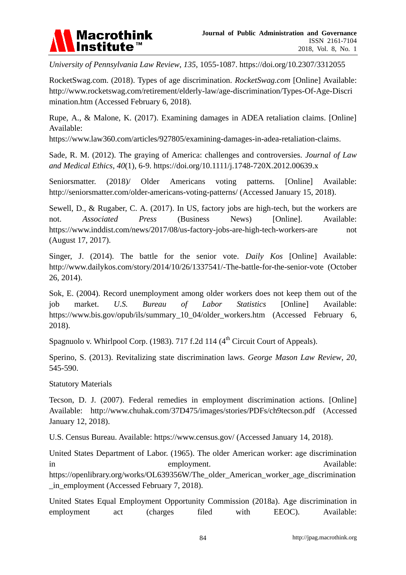

*University of Pennsylvania Law Review*, *135*, 1055-1087.<https://doi.org/10.2307/3312055>

RocketSwag.com. (2018). Types of age discrimination. *RocketSwag.com* [Online] Available: [http://www.rocketswag.com/retirement/elderly-law/age-discrimination/Types-Of-Age-Discri](http://www.rocketswag.com/retirement/elderly-law/age-discrimination/Types-Of-Age-Discrimination.htm) [mination.htm](http://www.rocketswag.com/retirement/elderly-law/age-discrimination/Types-Of-Age-Discrimination.htm) (Accessed February 6, 2018).

Rupe, A., & Malone, K. (2017). Examining damages in ADEA retaliation claims. [Online] Available:

[https://www.law360.com/articles/927805/examining-damages-in-adea-retaliation-claims.](https://www.law360.com/articles/927805/examining-damages-in-adea-retaliation-claims)

Sade, R. M. (2012). The graying of America: challenges and controversies. *Journal of Law and Medical Ethics*, *40*(1)*,* 6-9.<https://doi.org/10.1111/j.1748-720X.2012.00639.x>

Seniorsmatter. (2018)/ Older Americans voting patterns. [Online] Available: <http://seniorsmatter.com/older-americans-voting-patterns/> (Accessed January 15, 2018).

Sewell, D., & Rugaber, C. A. (2017). In US, factory jobs are high-tech, but the workers are not. *Associated Press* (Business News) [Online]. Available: [https://www.inddist.com/news/2017/08/us](https://www.inddist.com/news/2017/08/us-factory-jobs-are-high-tech-workers-are)**-**factory-jobs-are-high-tech-workers-are not (August 17, 2017).

Singer, J. (2014). The battle for the senior vote. *Daily Kos* [Online] Available: <http://www.dailykos.com/story/2014/10/26/1337541/-The-battle-for-the-senior-vote> (October 26, 2014).

Sok, E. (2004). Record unemployment among older workers does not keep them out of the job market. *U.S. Bureau of Labor Statistics* [Online] Available: [https://www.bis.gov/opub/ils/summary\\_10\\_04/older\\_workers.htm](https://www.bis.gov/opub/ils/summary_10_04/older_workers.htm) (Accessed February 6, 2018).

Spagnuolo v. Whirlpool Corp. (1983). 717 f.2d 114 ( $4<sup>th</sup>$  Circuit Court of Appeals).

Sperino, S. (2013). Revitalizing state discrimination laws. *George Mason Law Review*, *20,*  545-590.

Statutory Materials

Tecson, D. J. (2007). Federal remedies in employment discrimination actions. [Online] Available: <http://www.chuhak.com/37D475/images/stories/PDFs/ch9tecson.pdf> (Accessed January 12, 2018).

U.S. Census Bureau. Available:<https://www.census.gov/> (Accessed January 14, 2018).

United States Department of Labor. (1965). The older American worker: age discrimination in employment. Available: [https://openlibrary.org/works/OL639356W/The\\_older\\_American\\_worker\\_age\\_discrimination](https://openlibrary.org/works/OL639356W/The_older_American_worker_age_discrimination_in_employment) in employment (Accessed February 7, 2018).

United States Equal Employment Opportunity Commission (2018a). Age discrimination in employment act (charges filed with EEOC). Available: